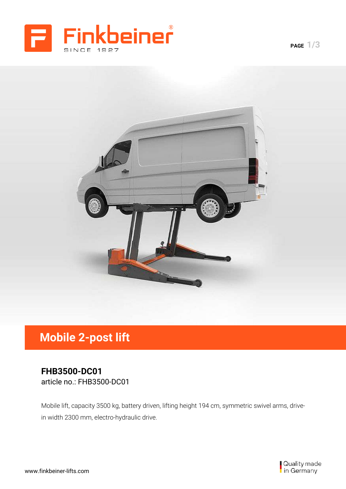



# **Mobile 2-post lift**

### **FHB3500-DC01** article no.: FHB3500-DC01

Mobile lift, capacity 3500 kg, battery driven, lifting height 194 cm, symmetric swivel arms, drivein width 2300 mm, electro-hydraulic drive.

**PAGE 1/3**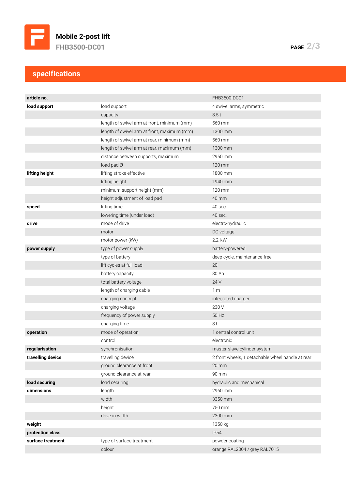

## **specifications**

| article no.       |                                             | FHB3500-DC01                                      |
|-------------------|---------------------------------------------|---------------------------------------------------|
| load support      | load support                                | 4 swivel arms, symmetric                          |
|                   | capacity                                    | 3.5t                                              |
|                   | length of swivel arm at front, minimum (mm) | 560 mm                                            |
|                   | length of swivel arm at front, maximum (mm) | 1300 mm                                           |
|                   | length of swivel arm at rear, minimum (mm)  | 560 mm                                            |
|                   | length of swivel arm at rear, maximum (mm)  | 1300 mm                                           |
|                   | distance between supports, maximum          | 2950 mm                                           |
|                   |                                             | 120 mm                                            |
|                   | load pad Ø                                  |                                                   |
| lifting height    | lifting stroke effective                    | 1800 mm                                           |
|                   | lifting height                              | 1940 mm                                           |
|                   | minimum support height (mm)                 | 120 mm                                            |
|                   | height adjustment of load pad               | 40 mm                                             |
| speed             | lifting time                                | 40 sec.                                           |
|                   | lowering time (under load)                  | 40 sec.                                           |
| drive             | mode of drive                               | electro-hydraulic                                 |
|                   | motor                                       | DC voltage                                        |
|                   | motor power (kW)                            | 2.2 KW                                            |
| power supply      | type of power supply                        | battery-powered                                   |
|                   | type of battery                             | deep cycle, maintenance-free                      |
|                   | lift cycles at full load                    | 20                                                |
|                   | battery capacity                            | 80 Ah                                             |
|                   | total battery voltage                       | 24 V                                              |
|                   | length of charging cable                    | 1 <sub>m</sub>                                    |
|                   | charging concept                            | integrated charger                                |
|                   | charging voltage                            | 230 V                                             |
|                   | frequency of power supply                   | 50 Hz                                             |
|                   | charging time                               | 8h                                                |
| operation         | mode of operation                           | 1 central control unit                            |
|                   | control                                     | electronic                                        |
| regularisation    | synchronisation                             | master-slave cylinder system                      |
| travelling device | travelling device                           | 2 front wheels, 1 detachable wheel handle at rear |
|                   | ground clearance at front                   | $20 \, \text{mm}$                                 |
|                   | ground clearance at rear                    | 90 mm                                             |
| load securing     | load securing                               | hydraulic and mechanical                          |
| dimensions        | length                                      | 2960 mm                                           |
|                   | width                                       | 3350 mm                                           |
|                   | height                                      | 750 mm                                            |
|                   | drive-in width                              | 2300 mm                                           |
| weight            |                                             | 1350 kg                                           |
| protection class  |                                             | <b>IP54</b>                                       |
| surface treatment | type of surface treatment                   | powder coating                                    |
|                   | colour                                      | orange RAL2004 / grey RAL7015                     |
|                   |                                             |                                                   |